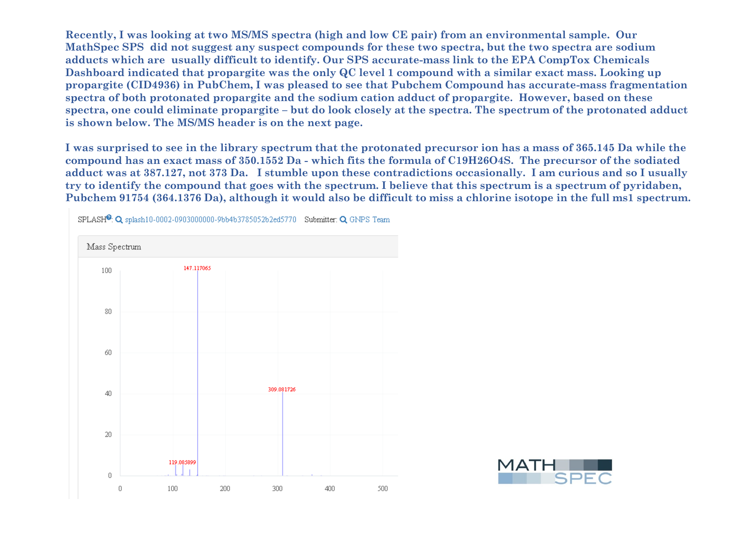**Recently, I was looking at two MS/MS spectra (high and low CE pair) from an environmental sample. Our MathSpec SPS did not suggest any suspect compounds for these two spectra, but the two spectra are sodium adducts which are usually difficult to identify. Our SPS accurate-mass link to the EPA CompTox Chemicals Dashboard indicated that propargite was the only QC level 1 compound with a similar exact mass. Looking up propargite (CID4936) in PubChem, I was pleased to see that Pubchem Compound has accurate-mass fragmentation spectra of both protonated propargite and the sodium cation adduct of propargite. However, based on these spectra, one could eliminate propargite – but do look closely at the spectra. The spectrum of the protonated adduct is shown below. The MS/MS header is on the next page.**

**I was surprised to see in the library spectrum that the protonated precursor ion has a mass of 365.145 Da while the compound has an exact mass of 350.1552 Da - which fits the formula of C19H26O4S. The precursor of the sodiated adduct was at 387.127, not 373 Da. I stumble upon these contradictions occasionally. I am curious and so I usually try to identify the compound that goes with the spectrum. I believe that this spectrum is a spectrum of pyridaben, Pubchem 91754 (364.1376 Da), although it would also be difficult to miss a chlorine isotope in the full ms1 spectrum.**



SPLASH<sup>®</sup>: Q splash10-0002-0903000000-9bb4b3785052b2ed5770 Submitter: Q GNPS Team